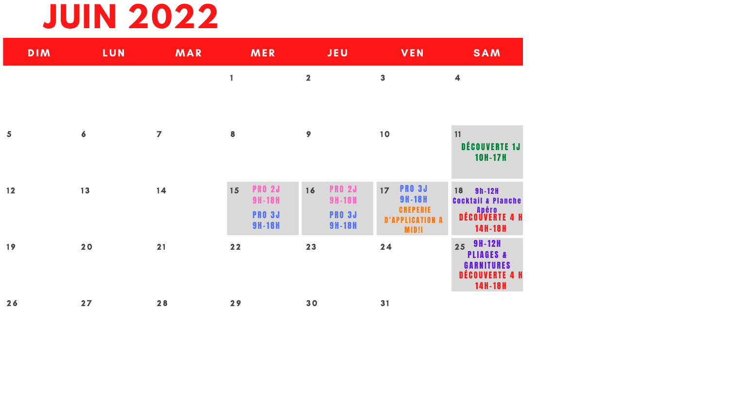### **JUIN 2022**

| <b>DIM</b>              | LUN              | MAR            | MER                                  | <b>JEU</b>                           | <b>VEN</b>                                                | <b>SAM</b>                                                  |
|-------------------------|------------------|----------------|--------------------------------------|--------------------------------------|-----------------------------------------------------------|-------------------------------------------------------------|
|                         |                  |                | 1                                    | $\overline{\mathbf{2}}$              | 3                                                         | $\overline{\mathbf{4}}$                                     |
|                         |                  |                |                                      |                                      |                                                           |                                                             |
| $\overline{\mathbf{5}}$ | $\boldsymbol{6}$ | $\overline{ }$ | 8                                    | 9                                    | 10                                                        | 11<br>DÉCOUVERTE 1J                                         |
|                         |                  |                |                                      |                                      |                                                           | <b>10H-17H</b>                                              |
| 12                      | 13               | 14             | <b>PRO 2J</b><br>15<br><b>9H-18H</b> | <b>PRO 2J</b><br>16<br><b>9H-18H</b> | <b>PRO 3J</b><br>17 <sup>2</sup><br><b>9H-18H</b>         | 18<br><b>9h-12H</b><br><b>Cocktail &amp; Planche</b>        |
|                         |                  |                | <b>PRO 3J</b><br><b>9H-18H</b>       | <b>PRO 3J</b><br><b>9H-18H</b>       | <b>CREPERIE</b><br><b>D'APPLICATION A</b><br><b>MID!I</b> | <b>ADÉCOUVERTE 4 H</b><br>14H-18H                           |
| 19                      | 20               | 21             | 22                                   | 23                                   | 24                                                        | $9H-12H$<br>25<br><b>PLIAGES &amp;</b><br><b>GARNITURES</b> |
|                         |                  |                |                                      |                                      |                                                           | <b>DÉCOUVERTE 4 H</b><br>14H-18H                            |
| 26                      | 27               | 28             | 29                                   | 30                                   | 31                                                        |                                                             |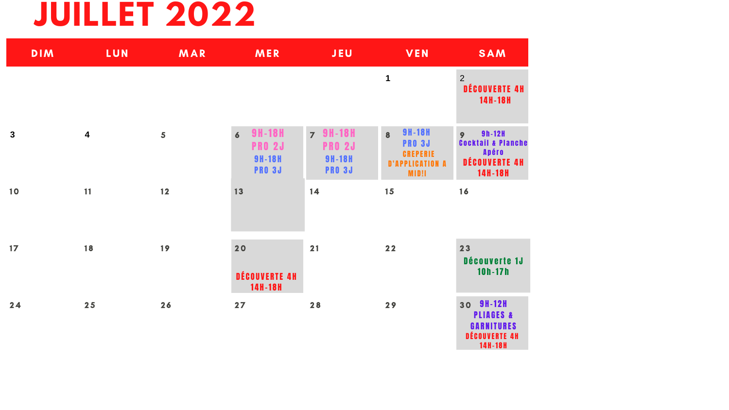#### **JUILLET 2022**

| <b>DIM</b>   | LUN                     | MAR | MER                                                                                | <b>JEU</b>                                                         | VEN                                                                                                             |
|--------------|-------------------------|-----|------------------------------------------------------------------------------------|--------------------------------------------------------------------|-----------------------------------------------------------------------------------------------------------------|
|              |                         |     |                                                                                    |                                                                    | $\mathbf{1}$                                                                                                    |
| $\mathbf{3}$ | $\overline{\mathbf{4}}$ | 5   | <b>9H-18H</b><br>$\overline{6}$<br><b>PRO 2J</b><br><b>9H-18H</b><br><b>PRO 3J</b> | <b>7 9H-18H</b><br><b>PRO 2J</b><br><b>9H-18H</b><br><b>PRO 3J</b> | <b>9H-18H</b><br>$\overline{\mathbf{8}}$<br><b>PRO 3J</b><br><b>CREPERIE</b><br><b>D'APPLICATION A</b><br>MID!I |
| 10           | 11                      | 12  | 13                                                                                 | 14                                                                 | 15                                                                                                              |
| 17           | 18                      | 19  | 20<br>DÉCOUVERTE 4H<br>14H-18H                                                     | 21                                                                 | $22$                                                                                                            |
| 24           | 25                      | 26  | 27                                                                                 | 28                                                                 | 29                                                                                                              |

| <b>SAM</b>                                                                           |
|--------------------------------------------------------------------------------------|
| 2<br><b>DÉCOUVERTE 4H</b><br>14H-18H                                                 |
| 9 h - 12 H<br>9<br>Cocktail & Planch<br><b>Apéro</b><br>DÉCOUVERTE 4H<br>14 H - 18 H |
| 16                                                                                   |

23 Découverte 1J  $10h - 17h$ 30 9H-12H

**PLIAGES & GARNITURES** DÉCOUVERTE 4H 14H-18H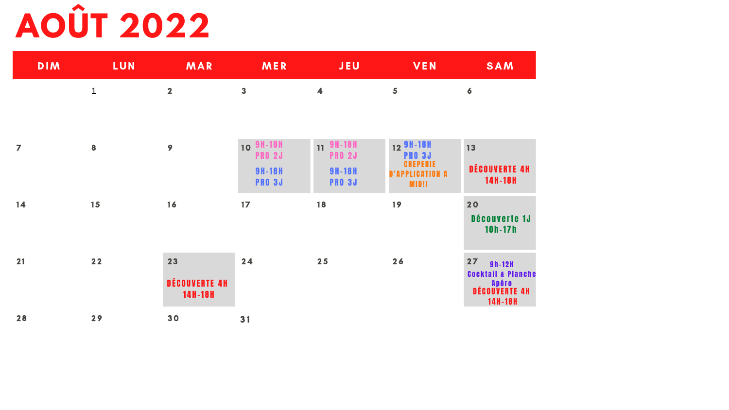# **AOÛT 2022**

| <b>DIM</b>     | LUN              | MAR                            | MER                                                          | JEU                                                          | <b>VEN</b>                                                                       |
|----------------|------------------|--------------------------------|--------------------------------------------------------------|--------------------------------------------------------------|----------------------------------------------------------------------------------|
|                | $\mathbf{1}$     | $\overline{\mathbf{2}}$        | $\overline{\mathbf{3}}$                                      | $\overline{\mathbf{4}}$                                      | 5                                                                                |
| $\overline{ }$ | $\boldsymbol{8}$ | 9                              | 10 9H-18H<br><b>PRO 2J</b><br><b>9H-18H</b><br><b>PRO 3J</b> | 11 9H-18H<br><b>PRO 2J</b><br><b>9H-18H</b><br><b>PRO 3J</b> | 12 9H-18H<br><b>PRO 3J</b><br><b>CREPERIE</b><br><b>D'APPLICATION A</b><br>MID!I |
| 14             | 15               | 16                             | 17                                                           | 18                                                           | 19                                                                               |
| 21             | $22$             | 23<br>DÉCOUVERTE 4H<br>14H-18H | 24                                                           | 25                                                           | 26                                                                               |
| 28             | 29               | 30                             | 31                                                           |                                                              |                                                                                  |

SAM

 $\boxed{13}$ 

 $\boldsymbol{6}$ 

DÉCOUVERTE 4H 14H-18H

20

Découverte 1J  $10h - 17h$ 

 $27$ 9h-12H **Cocktail & Planche Apéro<br>DÉCOUVERTE 4H** 14H-18H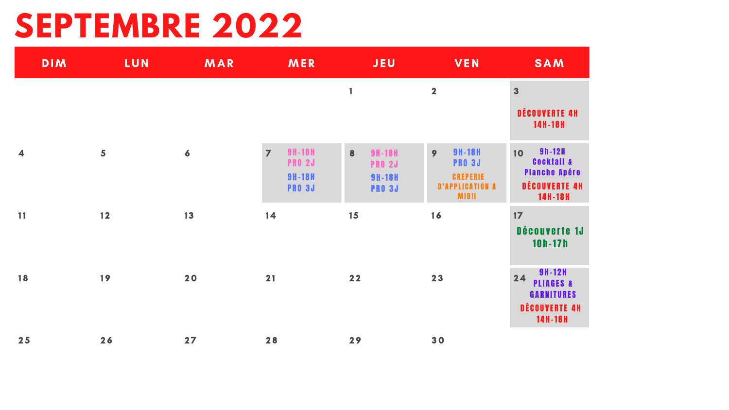## **SEPTEMBRE 2022**

| <b>DIM</b>              | LUN  | MAR              | MER                                                                                | <b>JEU</b>                                                            | <b>VEN</b>                                                                                | <b>SAM</b>                                                                                   |
|-------------------------|------|------------------|------------------------------------------------------------------------------------|-----------------------------------------------------------------------|-------------------------------------------------------------------------------------------|----------------------------------------------------------------------------------------------|
|                         |      |                  |                                                                                    | 1                                                                     | $\overline{\mathbf{2}}$                                                                   | $\overline{\mathbf{3}}$<br>DÉCOUVERTE 4H<br><b>14H-18H</b>                                   |
| $\overline{\mathbf{4}}$ | 5    | $\boldsymbol{6}$ | <b>9H-18H</b><br>$\overline{7}$<br><b>PRO 2J</b><br><b>9H-18H</b><br><b>PRO 3J</b> | 8<br><b>9H-18H</b><br><b>PRO 2J</b><br><b>9H-18H</b><br><b>PRO 3J</b> | <b>9H-18H</b><br>9<br><b>PRO 3J</b><br><b>CREPERIE</b><br><b>D'APPLICATION A</b><br>MID!I | 9h-12H<br>10<br><b>COCKTAIL &amp;</b><br><b>Planche Apéro</b><br>DÉCOUVERTE 4H<br>14H-18H    |
| <b>11</b>               | $12$ | 13               | 14                                                                                 | 15                                                                    | 16                                                                                        | 17<br>Découverte 1J<br>$10h - 17h$                                                           |
| 18                      | 19   | 20               | 21                                                                                 | $22$                                                                  | 23                                                                                        | <b>9H-12H</b><br>24<br><b>PLIAGES &amp;</b><br><b>GARNITURES</b><br>DÉCOUVERTE 4H<br>14H-18H |
| 25                      | 26   | 27               | 28                                                                                 | 29                                                                    | 30                                                                                        |                                                                                              |